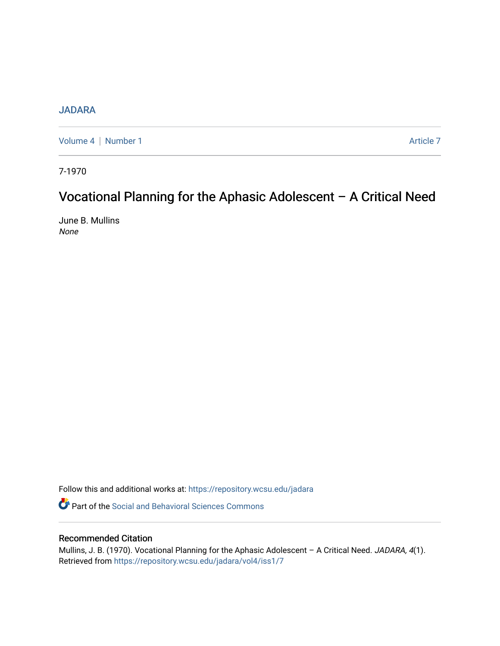# **[JADARA](https://repository.wcsu.edu/jadara)**

[Volume 4](https://repository.wcsu.edu/jadara/vol4) | [Number 1](https://repository.wcsu.edu/jadara/vol4/iss1) Article 7

7-1970

# Vocational Planning for the Aphasic Adolescent – A Critical Need

June B. Mullins None

Follow this and additional works at: [https://repository.wcsu.edu/jadara](https://repository.wcsu.edu/jadara?utm_source=repository.wcsu.edu%2Fjadara%2Fvol4%2Fiss1%2F7&utm_medium=PDF&utm_campaign=PDFCoverPages)

**P** Part of the Social and Behavioral Sciences Commons

# Recommended Citation

Mullins, J. B. (1970). Vocational Planning for the Aphasic Adolescent - A Critical Need. JADARA, 4(1). Retrieved from [https://repository.wcsu.edu/jadara/vol4/iss1/7](https://repository.wcsu.edu/jadara/vol4/iss1/7?utm_source=repository.wcsu.edu%2Fjadara%2Fvol4%2Fiss1%2F7&utm_medium=PDF&utm_campaign=PDFCoverPages)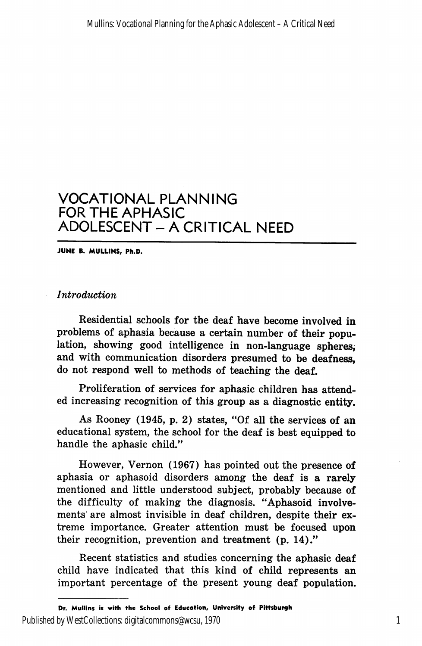JUNE B. MULLINS, Ph.D.

# Introduction

Residential schools for the deaf have become involved in problems of aphasia because a certain number of their popu lation, showing good intelligence in non-language spheres, and with communication disorders presumed to be deafness, do not respond well to methods of teaching the deaf.

Proliferation of services for aphasic children has attend ed increasing recognition of this group as a diagnostic entity.

As Rooney (1945, p. 2) states, "Of all the services of an educational system, the school for the deaf is best equipped to handle the aphasic child."

However, Vernon (1967) has pointed out the presence of aphasia or aphasoid disorders among the deaf is a rarely mentioned and little understood subject, probably because of the difficulty of making the diagnosis. "Aphasoid involve ments' are almost invisible in deaf children, despite their ex treme importance. Greater attention must be focused upon their recognition, prevention and treatment (p. 14)."

Recent statistics and studies concerning the aphasic deaf child have indicated that this kind of child represents an important percentage of the present young deaf population.

Dr. Mullins is with the School of Education, University of Pittsburgh Published by WestCollections: digitalcommons@wcsu, 1970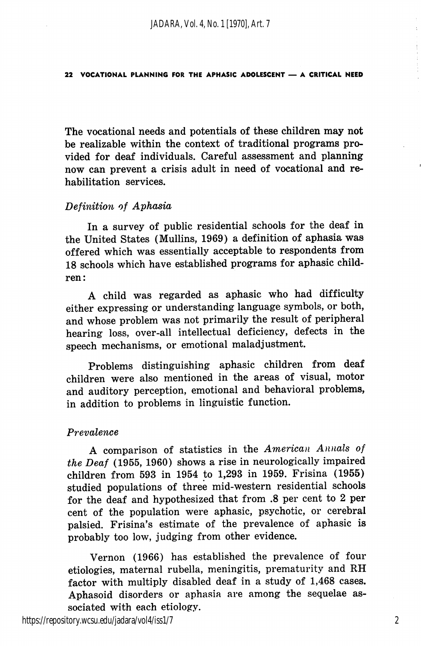The vocational needs and potentials of these children may not be realizable within the context of traditional programs pro vided for deaf individuals. Careful assessment and planning now can prevent a crisis adult in need of vocational and re habilitation services.

## Definition of Aphasia

In a survey of public residential schools for the deaf in the United States (Mullins, 1969) a definition of aphasia was offered which was essentially acceptable to respondents from 18 schools which have established programs for aphasic child ren:

A child was regarded as aphasic who had difficulty either expressing or understanding language symbols, or both, and whose problem was not primarily the result of peripheral hearing loss, over-all intellectual deficiency, defects in the speech mechanisms, or emotional maladjustment.

Problems distinguishing aphasic children from deaf children were also mentioned in the areas of visual, motor and auditory perception, emotional and behavioral problems, in addition to problems in linguistic function.

## Prevalence

A comparison of statistics in the American Annals of the Deaf (1955, 1960) shows a rise in neurologically impaired children from 593 in 1954 to 1,298 in 1959. Frisina (1955) studied populations of three mid-western residential schools for the deaf and hypothesized that from .8 per cent to 2 per cent of the population were aphasic, psychotic, or cerebral palsied. Frisina's estimate of the prevalence of aphasic is probably too low, judging from other evidence.

Vernon (1966) has established the prevalence of four etiologies, maternal rubella, meningitis, prematurity and RH factor with multiply disabled deaf in a study of 1,468 cases. Aphasoid disorders or aphasia are among the sequelae as sociated with each etiology.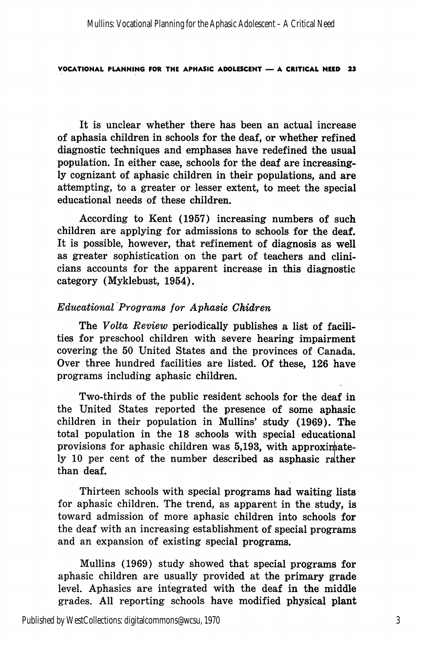It is unclear whether there has been an actual increase of aphasia children in schools for the deaf, or whether refined diagnostic techniques and emphases have redefined the usual population. In either case, schools for the deaf are increasing ly cognizant of aphasic children in their populations, and are attempting, to a greater or lesser extent, to meet the special educational needs of these children.

According to Kent (1957) increasing numbers of such children are applying for admissions to schools for the deaf. It is possible, however, that refinement of diagnosis as well as greater sophistication on the part of teachers and clini cians accounts for the apparent increase in this diagnostic category (Myklebust, 1954).

## Educational Programs for Aphasic Chidren

The Volta Review periodically publishes a list of facilities for preschool children with severe hearing impairment covering the 50 United States and the provinces of Canada. Over three hundred facilities are listed. Of these, 126 have programs including aphasic children.

Two-thirds of the public resident schools for the deaf in the United States reported the presence of some aphasic children in their population in Mullins' study (1969). The total population in the 18 schools with special educational provisions for aphasic children was 5,193, with approximately 10 per cent of the number described as asphasic rather than deaf.

Thirteen schools with special programs had waiting lists for aphasic children. The trend, as apparent in the study, is toward admission of more aphasic children into schools for the deaf with an increasing establishment of special programs and an expansion of existing special programs.

Mullins (1969) study showed that special programs for aphasic children are usually provided at the primary grade level. Aphasics are integrated with the deaf in the middle grades. All reporting schools have modified physical plant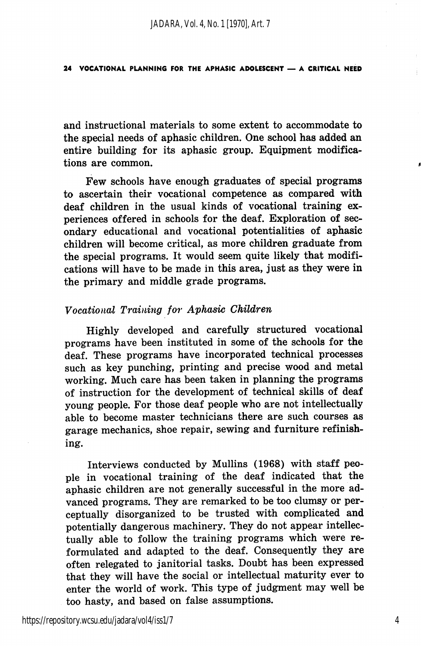and instructional materials to some extent to accommodate to the special needs of aphasic children. One school has added an entire building for its aphasic group. Equipment modifica tions are common.

Few schools have enough graduates of special programs to ascertain their vocational competence as compared with deaf children in the usual kinds of vocational training ex periences offered in schools for the deaf. Exploration of sec ondary educational and vocational potentialities of aphasic children will become critical, as more children graduate from the special programs. It would seem quite likely that modifi cations will have to be made in this area, just as they were in the primary and middle grade programs.

# Vocational Training for Aphasic Children

Highly developed and carefully structured vocational programs have been instituted in some of the schools for the deaf. These programs have incorporated technical processes such as key punching, printing and precise wood and metal working. Much care has been taken in planning the programs of instruction for the development of technical skills of deaf young people. For those deaf people who are not intellectually able to become master technicians there are such courses as garage mechanics, shoe repair, sewing and furniture refinishing.

Interviews conducted by Mullins (1968) with staff peo ple in vocational training of the deaf indicated that the aphasic children are not generally successful in the more ad vanced programs. They are remarked to be too clumsy or per ceptually disorganized to be trusted with complicated and potentially dangerous machinery. They do not appear intellec tually able to follow the training programs which were re formulated and adapted to the deaf. Consequently they are often relegated to janitorial tasks. Doubt has been expressed that they will have the social or intellectual maturity ever to enter the world of work. This type of judgment may well be too hasty, and based on false assumptions.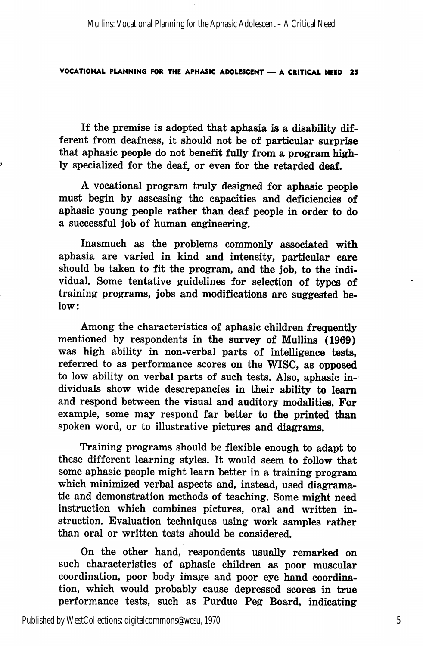Mullins: Vocational Planning for the Aphasic Adolescent – A Critical Need

#### VOCATIONAL PLANNING FOR THE APHASIC ADOLESCENT — A CRITICAL NEED 25

If the premise is adopted that aphasia is a disability dif ferent from deafness, it should not be of particular surprise that aphasic people do not benefit fully from a program high ly specialized for the deaf, or even for the retarded deaf.

A vocational program truly designed for aphasic people must begin by assessing the capacities and deficiencies of aphasic young people rather than deaf people in order to do a successful job of human engineering.

Inasmuch as the problems commonly associated with aphasia are varied in kind and intensity, particular care should be taken to fit the program, and the job, to the indi vidual. Some tentative guidelines for selection of types of training programs, jobs and modifications are suggested be low:

Among the characteristics of aphasic children frequently mentioned by respondents in the survey of Mullins (1969) was high ability in non-verbal parts of intelligence tests, referred to as performance scores on the WISC, as opposed to low ability on verbal parts of such tests. Also, aphasic in dividuals show wide descrepancies in their ability to leam and respond between the visual and auditory modalities. For example, some may respond far better to the printed than spoken word, or to illustrative pictures and diagrams.

Training programs should be flexible enough to adapt to these different learning styles. It would seem to follow that some aphasic people might learn better in a training program which minimized verbal aspects and, instead, used diagramatic and demonstration methods of teaching. Some might need instruction which combines pictures, oral and written in struction. Evaluation techniques using work samples rather than oral or written tests should be considered.

On the other hand, respondents usually remarked on such characteristics of aphasic children as poor muscular coordination, poor body image and poor eye hand coordina tion, which would probably cause depressed scores in true performance tests, such as Purdue Peg Board, indicating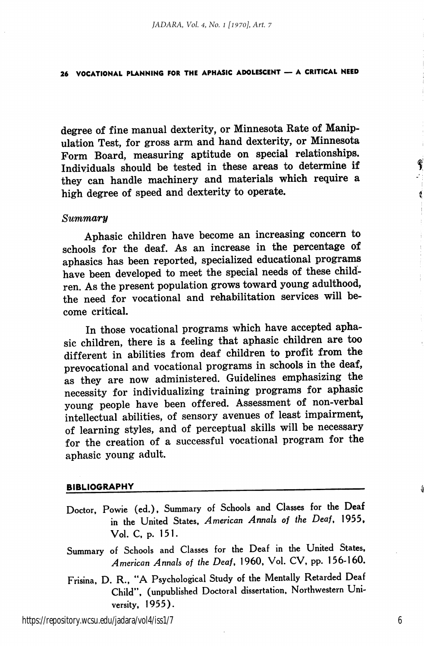degree of fine manual dexterity, or Minnesota Rate of Manip ulation Test, for gross arm and hand dexterity, or Minnesota Form Board, measuring aptitude on special relationships. Individuals should be tested in these areas to determine if they can handle machinery and materials which require a high degree of speed and dexterity to operate.

#### Summary

Aphasic children have become an increasing concern to schools for the deaf. As an increase in the percentage of aphasics has been reported, specialized educational programs have been developed to meet the special needs of these child ren. As the present population grows toward young adulthood, the need for vocational and rehabilitation services will be come critical.

In those vocational programs which have accepted apha sic children, there is a feeling that aphasic children are too different in abilities from deaf children to profit from the prevocational and vocational programs in schools in the deaf, as they are now administered. Guidelines emphasizing the necessity for individualizing training programs for aphasic young people have been offered. Assessment of non-verbal intellectual abilities, of sensory avenues of least impairment, of learning styles, and of perceptual skills will be necessary for the creation of a successful vocational program for the aphasic young adult.

#### BIBLIOGRAPHY

- Doctor, Powie (ed.), Summary of Schools and Classes for the Deaf in the United States, American Annals of the Deaf, 1955, Vol. C, p. 151.
- Summary of Schools and Classes for the Deaf in the United States, American Annals of the Deaf, 1960, Vol. CV, pp. 156-160.
- Frisina, D. R., "A Psychological Study of the Mentally Retarded Deaf Child", (unpublished Doctoral dissertation. Northwestern Uni versity, 1955).

https://repository.wcsu.edu/jadara/vol4/iss1/7

6

¢